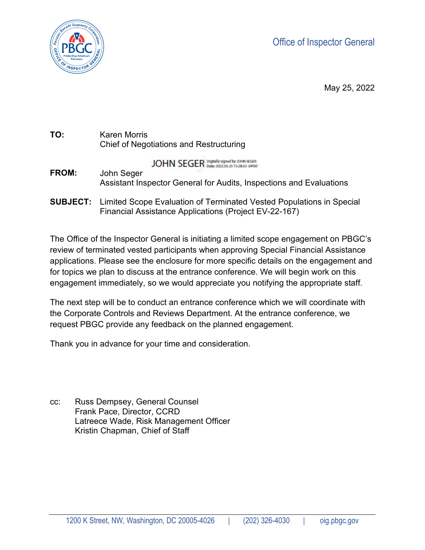Office of Inspector General



May 25, 2022

| TO: | Karen Morris                                   |
|-----|------------------------------------------------|
|     | <b>Chief of Negotiations and Restructuring</b> |

**JOHN SEGER Digitally signed by JOHN SEGER** 

- Assistant Inspector General for Audits, Inspections and Evaluations **FROM:** John Seger
- Financial Assistance Applications (Project EV-22-167) **SUBJECT:** Limited Scope Evaluation of Terminated Vested Populations in Special

The Office of the Inspector General is initiating a limited scope engagement on PBGC's review of terminated vested participants when approving Special Financial Assistance applications. Please see the enclosure for more specific details on the engagement and for topics we plan to discuss at the entrance conference. We will begin work on this engagement immediately, so we would appreciate you notifying the appropriate staff.

The next step will be to conduct an entrance conference which we will coordinate with the Corporate Controls and Reviews Department. At the entrance conference, we request PBGC provide any feedback on the planned engagement.

Thank you in advance for your time and consideration.

 Frank Pace, Director, CCRD cc: Russ Dempsey, General Counsel Latreece Wade, Risk Management Officer Kristin Chapman, Chief of Staff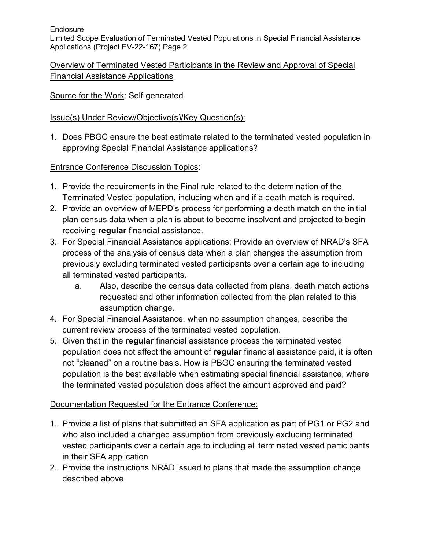**Enclosure** 

 Applications (Project EV-22-167) Page 2 Limited Scope Evaluation of Terminated Vested Populations in Special Financial Assistance

Overview of Terminated Vested Participants in the Review and Approval of Special Financial Assistance Applications

### Source for the Work: Self-generated

# Issue(s) Under Review/Objective(s)/Key Question(s):

approving Special Financial Assistance applications?<br>Entrance Conference Discussion Topics: 1. Does PBGC ensure the best estimate related to the terminated vested population in

- Terminated Vested population, including when and if a death match is required. 1. Provide the requirements in the Final rule related to the determination of the
- 2. Provide an overview of MEPD's process for performing a death match on the initial plan census data when a plan is about to become insolvent and projected to begin receiving **regular** financial assistance.
- 3. For Special Financial Assistance applications: Provide an overview of NRAD's SFA all terminated vested participants. process of the analysis of census data when a plan changes the assumption from previously excluding terminated vested participants over a certain age to including
	- a. Also, describe the census data collected from plans, death match actions requested and other information collected from the plan related to this assumption change.
- 4. For Special Financial Assistance, when no assumption changes, describe the current review process of the terminated vested population.
- 5. Given that in the **regular** financial assistance process the terminated vested population does not affect the amount of **regular** financial assistance paid, it is often not "cleaned" on a routine basis. How is PBGC ensuring the terminated vested population is the best available when estimating special financial assistance, where the terminated vested population does affect the amount approved and paid?

# Documentation Requested for the Entrance Conference:

- 1. Provide a list of plans that submitted an SFA application as part of PG1 or PG2 and who also included a changed assumption from previously excluding terminated vested participants over a certain age to including all terminated vested participants in their SFA application
- 2. Provide the instructions NRAD issued to plans that made the assumption change described above.